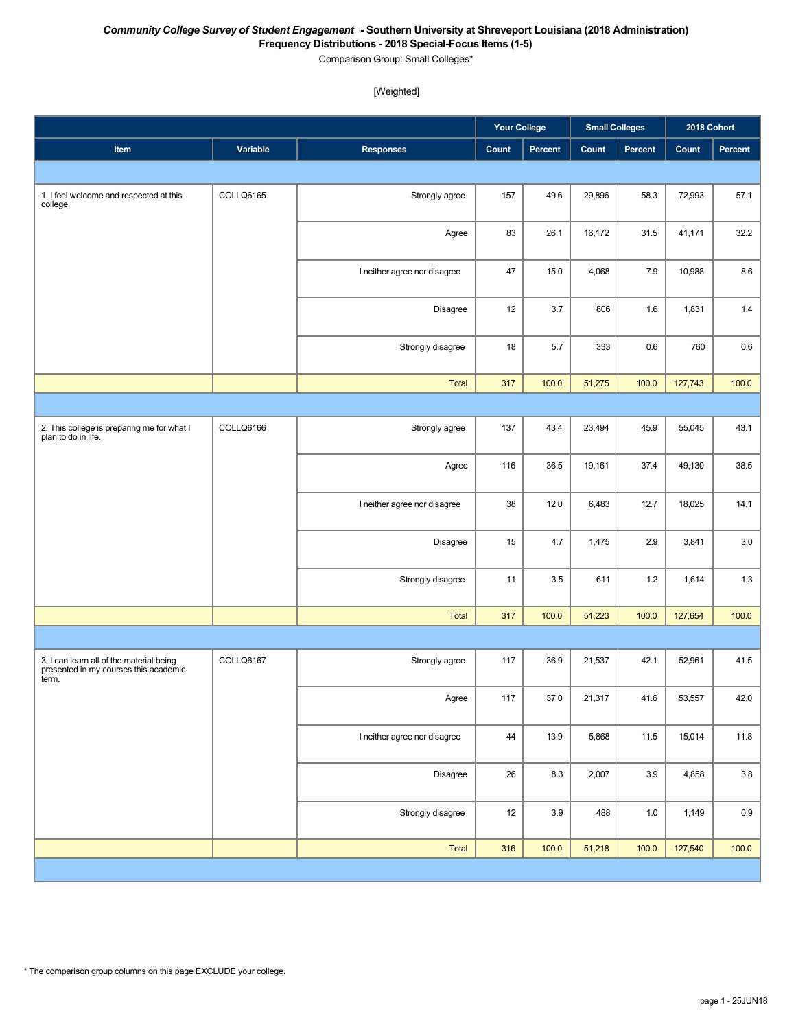#### *Community College Survey of Student Engagement* **- Southern University at Shreveport Louisiana (2018 Administration) Frequency Distributions - 2018 Special-Focus Items (1-5)**

Comparison Group: Small Colleges\*

#### [Weighted]

|                                                                                            |           |                              | <b>Your College</b> |         | <b>Small Colleges</b> |         | 2018 Cohort |         |
|--------------------------------------------------------------------------------------------|-----------|------------------------------|---------------------|---------|-----------------------|---------|-------------|---------|
| Item                                                                                       | Variable  | <b>Responses</b>             | Count               | Percent | Count                 | Percent | Count       | Percent |
|                                                                                            |           |                              |                     |         |                       |         |             |         |
| 1. I feel welcome and respected at this<br>college.                                        | COLLQ6165 | Strongly agree               | 157                 | 49.6    | 29,896                | 58.3    | 72,993      | 57.1    |
|                                                                                            |           | Agree                        | 83                  | 26.1    | 16,172                | 31.5    | 41,171      | 32.2    |
|                                                                                            |           | I neither agree nor disagree | 47                  | 15.0    | 4,068                 | 7.9     | 10,988      | 8.6     |
|                                                                                            |           | Disagree                     | 12                  | 3.7     | 806                   | 1.6     | 1,831       | 1.4     |
|                                                                                            |           | Strongly disagree            | 18                  | 5.7     | 333                   | 0.6     | 760         | 0.6     |
|                                                                                            |           | <b>Total</b>                 | 317                 | 100.0   | 51,275                | 100.0   | 127,743     | 100.0   |
|                                                                                            |           |                              |                     |         |                       |         |             |         |
| 2. This college is preparing me for what I<br>plan to do in life.                          | COLLQ6166 | Strongly agree               | 137                 | 43.4    | 23,494                | 45.9    | 55,045      | 43.1    |
|                                                                                            |           | Agree                        | 116                 | 36.5    | 19,161                | 37.4    | 49,130      | 38.5    |
|                                                                                            |           | I neither agree nor disagree | 38                  | 12.0    | 6,483                 | 12.7    | 18,025      | 14.1    |
|                                                                                            |           | Disagree                     | 15                  | 4.7     | 1,475                 | 2.9     | 3,841       | 3.0     |
|                                                                                            |           | Strongly disagree            | 11                  | 3.5     | 611                   | 1.2     | 1,614       | $1.3$   |
|                                                                                            |           | <b>Total</b>                 | 317                 | 100.0   | 51,223                | 100.0   | 127,654     | 100.0   |
|                                                                                            |           |                              |                     |         |                       |         |             |         |
| 3. I can learn all of the material being<br>presented in my courses this academic<br>term. | COLLQ6167 | Strongly agree               | 117                 | 36.9    | 21,537                | 42.1    | 52,961      | 41.5    |
|                                                                                            |           | Agree                        | 117                 | 37.0    | 21,317                | 41.6    | 53,557      | 42.0    |
|                                                                                            |           | I neither agree nor disagree | 44                  | 13.9    | 5,868                 | 11.5    | 15,014      | 11.8    |
|                                                                                            |           | Disagree                     | 26                  | 8.3     | 2,007                 | 3.9     | 4,858       | $3.8\,$ |
|                                                                                            |           | Strongly disagree            | 12                  | 3.9     | 488                   | 1.0     | 1,149       | $0.9\,$ |
|                                                                                            |           | Total                        | 316                 | 100.0   | 51,218                | 100.0   | 127,540     | 100.0   |
|                                                                                            |           |                              |                     |         |                       |         |             |         |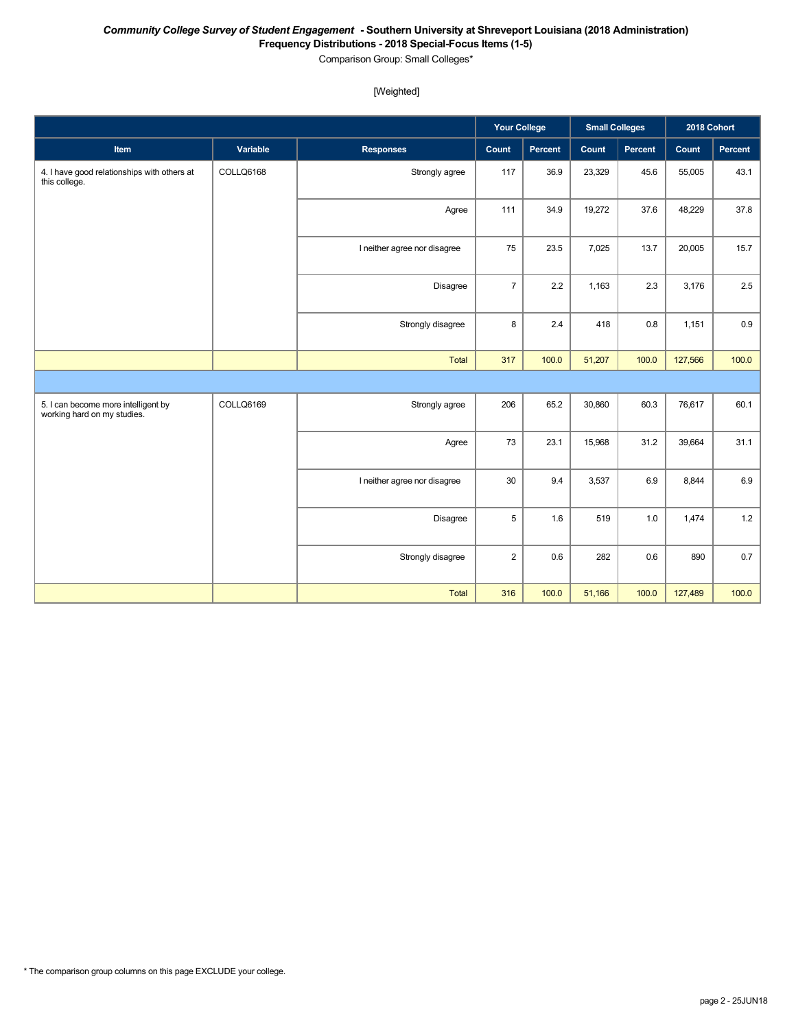#### *Community College Survey of Student Engagement* **- Southern University at Shreveport Louisiana (2018 Administration) Frequency Distributions - 2018 Special-Focus Items (1-5)**

Comparison Group: Small Colleges\*

### [Weighted]

|                                                                    |           |                              | <b>Your College</b> |         | <b>Small Colleges</b> |         | 2018 Cohort |         |
|--------------------------------------------------------------------|-----------|------------------------------|---------------------|---------|-----------------------|---------|-------------|---------|
| Item                                                               | Variable  | <b>Responses</b>             | Count               | Percent | Count                 | Percent | Count       | Percent |
| 4. I have good relationships with others at<br>this college.       | COLLQ6168 | Strongly agree               | 117                 | 36.9    | 23,329                | 45.6    | 55,005      | 43.1    |
|                                                                    |           | Agree                        | 111                 | 34.9    | 19,272                | 37.6    | 48,229      | 37.8    |
|                                                                    |           | I neither agree nor disagree | 75                  | 23.5    | 7,025                 | 13.7    | 20,005      | 15.7    |
|                                                                    |           | <b>Disagree</b>              | $\overline{7}$      | 2.2     | 1,163                 | 2.3     | 3,176       | 2.5     |
|                                                                    |           | Strongly disagree            | 8                   | 2.4     | 418                   | 0.8     | 1,151       | $0.9\,$ |
|                                                                    |           | Total                        | 317                 | 100.0   | 51,207                | 100.0   | 127,566     | 100.0   |
|                                                                    |           |                              |                     |         |                       |         |             |         |
| 5. I can become more intelligent by<br>working hard on my studies. | COLLQ6169 | Strongly agree               | 206                 | 65.2    | 30,860                | 60.3    | 76,617      | 60.1    |
|                                                                    |           | Agree                        | 73                  | 23.1    | 15,968                | 31.2    | 39,664      | 31.1    |
|                                                                    |           | I neither agree nor disagree | 30                  | 9.4     | 3,537                 | 6.9     | 8,844       | $6.9\,$ |
|                                                                    |           | <b>Disagree</b>              | 5                   | 1.6     | 519                   | 1.0     | 1,474       | $1.2$   |
|                                                                    |           | Strongly disagree            | $\overline{2}$      | 0.6     | 282                   | 0.6     | 890         | $0.7\,$ |
|                                                                    |           | <b>Total</b>                 | 316                 | 100.0   | 51,166                | 100.0   | 127,489     | 100.0   |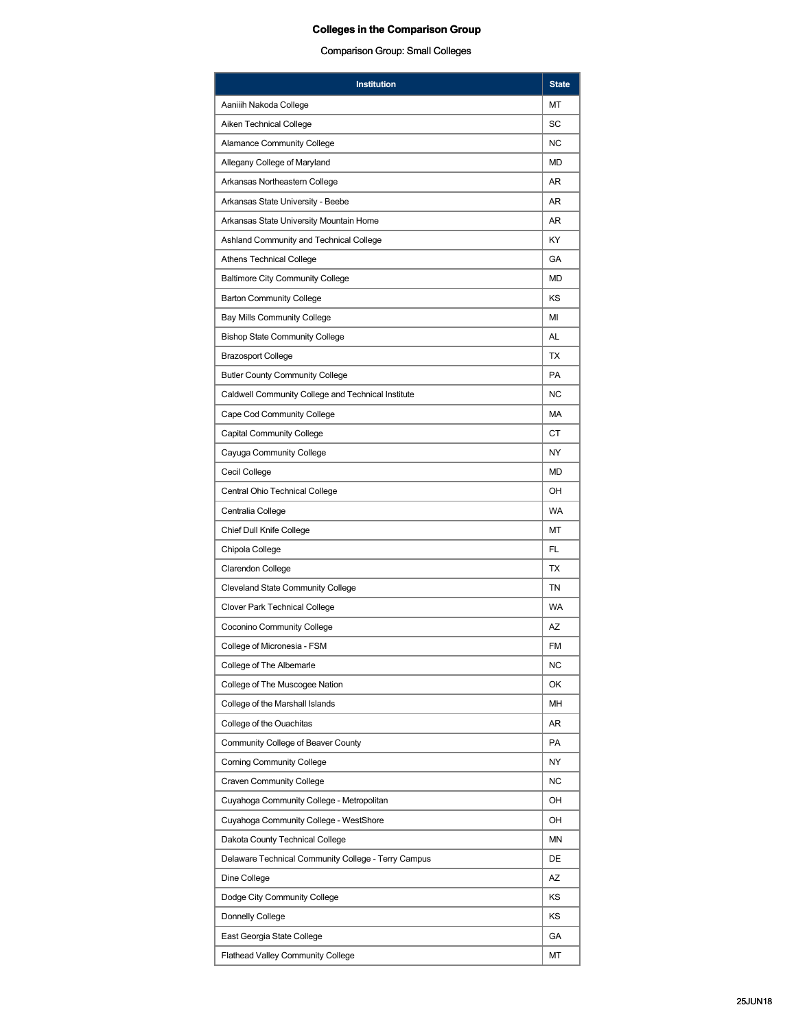| MT<br>Aaniiih Nakoda College<br>SC<br>Aiken Technical College<br><b>NC</b><br><b>Alamance Community College</b><br>Allegany College of Maryland<br>MD<br>AR.<br>Arkansas Northeastern College<br>Arkansas State University - Beebe<br>AR<br>AR.<br>Arkansas State University Mountain Home<br>Ashland Community and Technical College<br>KY<br><b>Athens Technical College</b><br>GА<br><b>Baltimore City Community College</b><br>MD<br>KS<br><b>Barton Community College</b><br><b>Bay Mills Community College</b><br>MI<br>AL<br><b>Bishop State Community College</b><br>TX<br><b>Brazosport College</b><br><b>PA</b><br><b>Butler County Community College</b><br><b>NC</b><br>Caldwell Community College and Technical Institute<br>Cape Cod Community College<br>МA<br>СT<br><b>Capital Community College</b><br>NY.<br>Cayuga Community College<br>Cecil College<br>MD<br>Central Ohio Technical College<br>OH<br><b>WA</b><br>Centralia College<br><b>Chief Dull Knife College</b><br>МT<br>FL<br>Chipola College<br><b>TX</b><br><b>Clarendon College</b><br>TN<br><b>Cleveland State Community College</b><br><b>WA</b><br>Clover Park Technical College<br>AZ<br><b>Coconino Community College</b><br>College of Micronesia - FSM<br>FM<br>College of The Albemarle<br><b>NC</b><br>College of The Muscogee Nation<br>OK<br>College of the Marshall Islands<br>MН<br>College of the Ouachitas<br>AR<br>PA<br>Community College of Beaver County<br><b>Corning Community College</b><br>NY<br><b>Craven Community College</b><br>ΝC<br>Cuyahoga Community College - Metropolitan<br>OH<br>OH<br>Cuyahoga Community College - WestShore<br>ΜN<br>Dakota County Technical College<br>DE<br>Delaware Technical Community College - Terry Campus<br>AZ<br>Dine College<br>KS<br>Dodge City Community College<br>Donnelly College<br>KS<br>East Georgia State College<br>GА<br><b>Flathead Valley Community College</b><br>МT | <b>Institution</b> | <b>State</b> |  |  |  |
|-------------------------------------------------------------------------------------------------------------------------------------------------------------------------------------------------------------------------------------------------------------------------------------------------------------------------------------------------------------------------------------------------------------------------------------------------------------------------------------------------------------------------------------------------------------------------------------------------------------------------------------------------------------------------------------------------------------------------------------------------------------------------------------------------------------------------------------------------------------------------------------------------------------------------------------------------------------------------------------------------------------------------------------------------------------------------------------------------------------------------------------------------------------------------------------------------------------------------------------------------------------------------------------------------------------------------------------------------------------------------------------------------------------------------------------------------------------------------------------------------------------------------------------------------------------------------------------------------------------------------------------------------------------------------------------------------------------------------------------------------------------------------------------------------------------------------------------------------------------------------------------------------------------------------------------|--------------------|--------------|--|--|--|
|                                                                                                                                                                                                                                                                                                                                                                                                                                                                                                                                                                                                                                                                                                                                                                                                                                                                                                                                                                                                                                                                                                                                                                                                                                                                                                                                                                                                                                                                                                                                                                                                                                                                                                                                                                                                                                                                                                                                     |                    |              |  |  |  |
|                                                                                                                                                                                                                                                                                                                                                                                                                                                                                                                                                                                                                                                                                                                                                                                                                                                                                                                                                                                                                                                                                                                                                                                                                                                                                                                                                                                                                                                                                                                                                                                                                                                                                                                                                                                                                                                                                                                                     |                    |              |  |  |  |
|                                                                                                                                                                                                                                                                                                                                                                                                                                                                                                                                                                                                                                                                                                                                                                                                                                                                                                                                                                                                                                                                                                                                                                                                                                                                                                                                                                                                                                                                                                                                                                                                                                                                                                                                                                                                                                                                                                                                     |                    |              |  |  |  |
|                                                                                                                                                                                                                                                                                                                                                                                                                                                                                                                                                                                                                                                                                                                                                                                                                                                                                                                                                                                                                                                                                                                                                                                                                                                                                                                                                                                                                                                                                                                                                                                                                                                                                                                                                                                                                                                                                                                                     |                    |              |  |  |  |
|                                                                                                                                                                                                                                                                                                                                                                                                                                                                                                                                                                                                                                                                                                                                                                                                                                                                                                                                                                                                                                                                                                                                                                                                                                                                                                                                                                                                                                                                                                                                                                                                                                                                                                                                                                                                                                                                                                                                     |                    |              |  |  |  |
|                                                                                                                                                                                                                                                                                                                                                                                                                                                                                                                                                                                                                                                                                                                                                                                                                                                                                                                                                                                                                                                                                                                                                                                                                                                                                                                                                                                                                                                                                                                                                                                                                                                                                                                                                                                                                                                                                                                                     |                    |              |  |  |  |
|                                                                                                                                                                                                                                                                                                                                                                                                                                                                                                                                                                                                                                                                                                                                                                                                                                                                                                                                                                                                                                                                                                                                                                                                                                                                                                                                                                                                                                                                                                                                                                                                                                                                                                                                                                                                                                                                                                                                     |                    |              |  |  |  |
|                                                                                                                                                                                                                                                                                                                                                                                                                                                                                                                                                                                                                                                                                                                                                                                                                                                                                                                                                                                                                                                                                                                                                                                                                                                                                                                                                                                                                                                                                                                                                                                                                                                                                                                                                                                                                                                                                                                                     |                    |              |  |  |  |
|                                                                                                                                                                                                                                                                                                                                                                                                                                                                                                                                                                                                                                                                                                                                                                                                                                                                                                                                                                                                                                                                                                                                                                                                                                                                                                                                                                                                                                                                                                                                                                                                                                                                                                                                                                                                                                                                                                                                     |                    |              |  |  |  |
|                                                                                                                                                                                                                                                                                                                                                                                                                                                                                                                                                                                                                                                                                                                                                                                                                                                                                                                                                                                                                                                                                                                                                                                                                                                                                                                                                                                                                                                                                                                                                                                                                                                                                                                                                                                                                                                                                                                                     |                    |              |  |  |  |
|                                                                                                                                                                                                                                                                                                                                                                                                                                                                                                                                                                                                                                                                                                                                                                                                                                                                                                                                                                                                                                                                                                                                                                                                                                                                                                                                                                                                                                                                                                                                                                                                                                                                                                                                                                                                                                                                                                                                     |                    |              |  |  |  |
|                                                                                                                                                                                                                                                                                                                                                                                                                                                                                                                                                                                                                                                                                                                                                                                                                                                                                                                                                                                                                                                                                                                                                                                                                                                                                                                                                                                                                                                                                                                                                                                                                                                                                                                                                                                                                                                                                                                                     |                    |              |  |  |  |
|                                                                                                                                                                                                                                                                                                                                                                                                                                                                                                                                                                                                                                                                                                                                                                                                                                                                                                                                                                                                                                                                                                                                                                                                                                                                                                                                                                                                                                                                                                                                                                                                                                                                                                                                                                                                                                                                                                                                     |                    |              |  |  |  |
|                                                                                                                                                                                                                                                                                                                                                                                                                                                                                                                                                                                                                                                                                                                                                                                                                                                                                                                                                                                                                                                                                                                                                                                                                                                                                                                                                                                                                                                                                                                                                                                                                                                                                                                                                                                                                                                                                                                                     |                    |              |  |  |  |
|                                                                                                                                                                                                                                                                                                                                                                                                                                                                                                                                                                                                                                                                                                                                                                                                                                                                                                                                                                                                                                                                                                                                                                                                                                                                                                                                                                                                                                                                                                                                                                                                                                                                                                                                                                                                                                                                                                                                     |                    |              |  |  |  |
|                                                                                                                                                                                                                                                                                                                                                                                                                                                                                                                                                                                                                                                                                                                                                                                                                                                                                                                                                                                                                                                                                                                                                                                                                                                                                                                                                                                                                                                                                                                                                                                                                                                                                                                                                                                                                                                                                                                                     |                    |              |  |  |  |
|                                                                                                                                                                                                                                                                                                                                                                                                                                                                                                                                                                                                                                                                                                                                                                                                                                                                                                                                                                                                                                                                                                                                                                                                                                                                                                                                                                                                                                                                                                                                                                                                                                                                                                                                                                                                                                                                                                                                     |                    |              |  |  |  |
|                                                                                                                                                                                                                                                                                                                                                                                                                                                                                                                                                                                                                                                                                                                                                                                                                                                                                                                                                                                                                                                                                                                                                                                                                                                                                                                                                                                                                                                                                                                                                                                                                                                                                                                                                                                                                                                                                                                                     |                    |              |  |  |  |
|                                                                                                                                                                                                                                                                                                                                                                                                                                                                                                                                                                                                                                                                                                                                                                                                                                                                                                                                                                                                                                                                                                                                                                                                                                                                                                                                                                                                                                                                                                                                                                                                                                                                                                                                                                                                                                                                                                                                     |                    |              |  |  |  |
|                                                                                                                                                                                                                                                                                                                                                                                                                                                                                                                                                                                                                                                                                                                                                                                                                                                                                                                                                                                                                                                                                                                                                                                                                                                                                                                                                                                                                                                                                                                                                                                                                                                                                                                                                                                                                                                                                                                                     |                    |              |  |  |  |
|                                                                                                                                                                                                                                                                                                                                                                                                                                                                                                                                                                                                                                                                                                                                                                                                                                                                                                                                                                                                                                                                                                                                                                                                                                                                                                                                                                                                                                                                                                                                                                                                                                                                                                                                                                                                                                                                                                                                     |                    |              |  |  |  |
|                                                                                                                                                                                                                                                                                                                                                                                                                                                                                                                                                                                                                                                                                                                                                                                                                                                                                                                                                                                                                                                                                                                                                                                                                                                                                                                                                                                                                                                                                                                                                                                                                                                                                                                                                                                                                                                                                                                                     |                    |              |  |  |  |
|                                                                                                                                                                                                                                                                                                                                                                                                                                                                                                                                                                                                                                                                                                                                                                                                                                                                                                                                                                                                                                                                                                                                                                                                                                                                                                                                                                                                                                                                                                                                                                                                                                                                                                                                                                                                                                                                                                                                     |                    |              |  |  |  |
|                                                                                                                                                                                                                                                                                                                                                                                                                                                                                                                                                                                                                                                                                                                                                                                                                                                                                                                                                                                                                                                                                                                                                                                                                                                                                                                                                                                                                                                                                                                                                                                                                                                                                                                                                                                                                                                                                                                                     |                    |              |  |  |  |
|                                                                                                                                                                                                                                                                                                                                                                                                                                                                                                                                                                                                                                                                                                                                                                                                                                                                                                                                                                                                                                                                                                                                                                                                                                                                                                                                                                                                                                                                                                                                                                                                                                                                                                                                                                                                                                                                                                                                     |                    |              |  |  |  |
|                                                                                                                                                                                                                                                                                                                                                                                                                                                                                                                                                                                                                                                                                                                                                                                                                                                                                                                                                                                                                                                                                                                                                                                                                                                                                                                                                                                                                                                                                                                                                                                                                                                                                                                                                                                                                                                                                                                                     |                    |              |  |  |  |
|                                                                                                                                                                                                                                                                                                                                                                                                                                                                                                                                                                                                                                                                                                                                                                                                                                                                                                                                                                                                                                                                                                                                                                                                                                                                                                                                                                                                                                                                                                                                                                                                                                                                                                                                                                                                                                                                                                                                     |                    |              |  |  |  |
|                                                                                                                                                                                                                                                                                                                                                                                                                                                                                                                                                                                                                                                                                                                                                                                                                                                                                                                                                                                                                                                                                                                                                                                                                                                                                                                                                                                                                                                                                                                                                                                                                                                                                                                                                                                                                                                                                                                                     |                    |              |  |  |  |
|                                                                                                                                                                                                                                                                                                                                                                                                                                                                                                                                                                                                                                                                                                                                                                                                                                                                                                                                                                                                                                                                                                                                                                                                                                                                                                                                                                                                                                                                                                                                                                                                                                                                                                                                                                                                                                                                                                                                     |                    |              |  |  |  |
|                                                                                                                                                                                                                                                                                                                                                                                                                                                                                                                                                                                                                                                                                                                                                                                                                                                                                                                                                                                                                                                                                                                                                                                                                                                                                                                                                                                                                                                                                                                                                                                                                                                                                                                                                                                                                                                                                                                                     |                    |              |  |  |  |
|                                                                                                                                                                                                                                                                                                                                                                                                                                                                                                                                                                                                                                                                                                                                                                                                                                                                                                                                                                                                                                                                                                                                                                                                                                                                                                                                                                                                                                                                                                                                                                                                                                                                                                                                                                                                                                                                                                                                     |                    |              |  |  |  |
|                                                                                                                                                                                                                                                                                                                                                                                                                                                                                                                                                                                                                                                                                                                                                                                                                                                                                                                                                                                                                                                                                                                                                                                                                                                                                                                                                                                                                                                                                                                                                                                                                                                                                                                                                                                                                                                                                                                                     |                    |              |  |  |  |
|                                                                                                                                                                                                                                                                                                                                                                                                                                                                                                                                                                                                                                                                                                                                                                                                                                                                                                                                                                                                                                                                                                                                                                                                                                                                                                                                                                                                                                                                                                                                                                                                                                                                                                                                                                                                                                                                                                                                     |                    |              |  |  |  |
|                                                                                                                                                                                                                                                                                                                                                                                                                                                                                                                                                                                                                                                                                                                                                                                                                                                                                                                                                                                                                                                                                                                                                                                                                                                                                                                                                                                                                                                                                                                                                                                                                                                                                                                                                                                                                                                                                                                                     |                    |              |  |  |  |
|                                                                                                                                                                                                                                                                                                                                                                                                                                                                                                                                                                                                                                                                                                                                                                                                                                                                                                                                                                                                                                                                                                                                                                                                                                                                                                                                                                                                                                                                                                                                                                                                                                                                                                                                                                                                                                                                                                                                     |                    |              |  |  |  |
|                                                                                                                                                                                                                                                                                                                                                                                                                                                                                                                                                                                                                                                                                                                                                                                                                                                                                                                                                                                                                                                                                                                                                                                                                                                                                                                                                                                                                                                                                                                                                                                                                                                                                                                                                                                                                                                                                                                                     |                    |              |  |  |  |
|                                                                                                                                                                                                                                                                                                                                                                                                                                                                                                                                                                                                                                                                                                                                                                                                                                                                                                                                                                                                                                                                                                                                                                                                                                                                                                                                                                                                                                                                                                                                                                                                                                                                                                                                                                                                                                                                                                                                     |                    |              |  |  |  |
|                                                                                                                                                                                                                                                                                                                                                                                                                                                                                                                                                                                                                                                                                                                                                                                                                                                                                                                                                                                                                                                                                                                                                                                                                                                                                                                                                                                                                                                                                                                                                                                                                                                                                                                                                                                                                                                                                                                                     |                    |              |  |  |  |
|                                                                                                                                                                                                                                                                                                                                                                                                                                                                                                                                                                                                                                                                                                                                                                                                                                                                                                                                                                                                                                                                                                                                                                                                                                                                                                                                                                                                                                                                                                                                                                                                                                                                                                                                                                                                                                                                                                                                     |                    |              |  |  |  |
|                                                                                                                                                                                                                                                                                                                                                                                                                                                                                                                                                                                                                                                                                                                                                                                                                                                                                                                                                                                                                                                                                                                                                                                                                                                                                                                                                                                                                                                                                                                                                                                                                                                                                                                                                                                                                                                                                                                                     |                    |              |  |  |  |
|                                                                                                                                                                                                                                                                                                                                                                                                                                                                                                                                                                                                                                                                                                                                                                                                                                                                                                                                                                                                                                                                                                                                                                                                                                                                                                                                                                                                                                                                                                                                                                                                                                                                                                                                                                                                                                                                                                                                     |                    |              |  |  |  |
|                                                                                                                                                                                                                                                                                                                                                                                                                                                                                                                                                                                                                                                                                                                                                                                                                                                                                                                                                                                                                                                                                                                                                                                                                                                                                                                                                                                                                                                                                                                                                                                                                                                                                                                                                                                                                                                                                                                                     |                    |              |  |  |  |
|                                                                                                                                                                                                                                                                                                                                                                                                                                                                                                                                                                                                                                                                                                                                                                                                                                                                                                                                                                                                                                                                                                                                                                                                                                                                                                                                                                                                                                                                                                                                                                                                                                                                                                                                                                                                                                                                                                                                     |                    |              |  |  |  |
|                                                                                                                                                                                                                                                                                                                                                                                                                                                                                                                                                                                                                                                                                                                                                                                                                                                                                                                                                                                                                                                                                                                                                                                                                                                                                                                                                                                                                                                                                                                                                                                                                                                                                                                                                                                                                                                                                                                                     |                    |              |  |  |  |
|                                                                                                                                                                                                                                                                                                                                                                                                                                                                                                                                                                                                                                                                                                                                                                                                                                                                                                                                                                                                                                                                                                                                                                                                                                                                                                                                                                                                                                                                                                                                                                                                                                                                                                                                                                                                                                                                                                                                     |                    |              |  |  |  |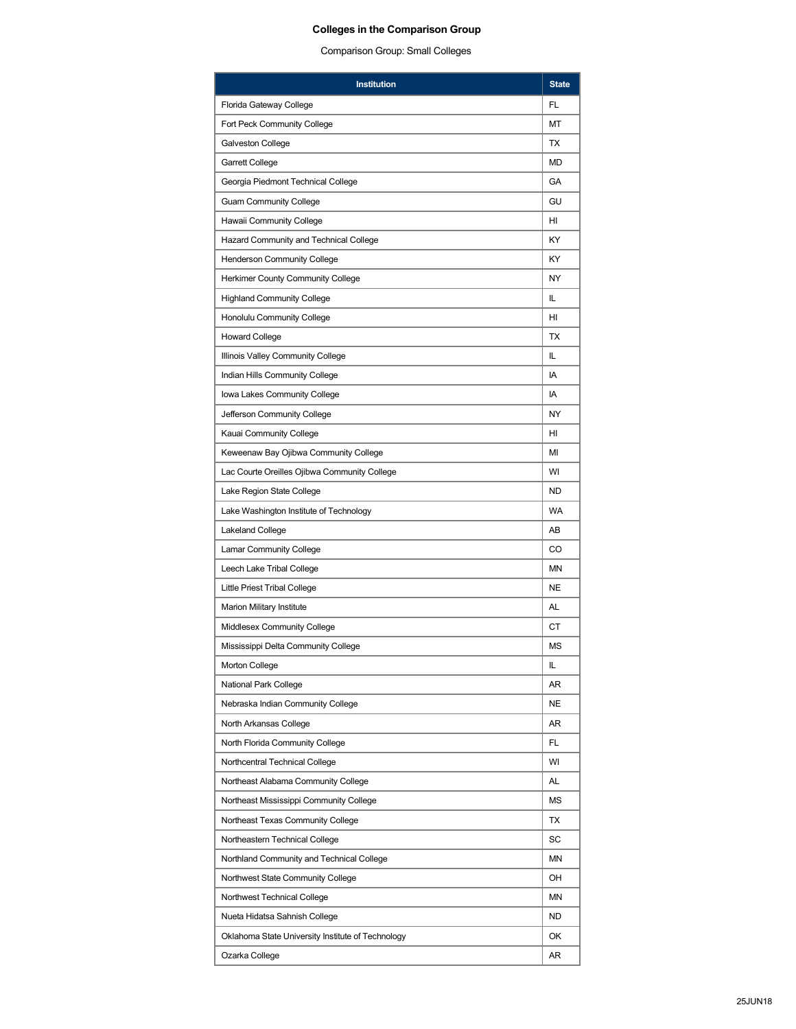| <b>Institution</b>                                |           |  |  |  |
|---------------------------------------------------|-----------|--|--|--|
| Florida Gateway College                           | FL        |  |  |  |
| Fort Peck Community College                       |           |  |  |  |
| Galveston College                                 |           |  |  |  |
| Garrett College                                   | MD        |  |  |  |
| Georgia Piedmont Technical College                |           |  |  |  |
| <b>Guam Community College</b>                     |           |  |  |  |
| Hawaii Community College                          |           |  |  |  |
| Hazard Community and Technical College            |           |  |  |  |
| <b>Henderson Community College</b>                | ΚY        |  |  |  |
| Herkimer County Community College                 | NY        |  |  |  |
| <b>Highland Community College</b>                 | IL.       |  |  |  |
| Honolulu Community College                        | HI        |  |  |  |
| <b>Howard College</b>                             | TX        |  |  |  |
| Illinois Valley Community College                 | IL.       |  |  |  |
| Indian Hills Community College                    | IA        |  |  |  |
| Iowa Lakes Community College                      | IA        |  |  |  |
| Jefferson Community College                       | NY        |  |  |  |
| Kauai Community College                           | HI        |  |  |  |
| Keweenaw Bay Ojibwa Community College             | MI        |  |  |  |
| Lac Courte Oreilles Ojibwa Community College      | WI        |  |  |  |
| Lake Region State College                         | <b>ND</b> |  |  |  |
| Lake Washington Institute of Technology           |           |  |  |  |
| Lakeland College                                  |           |  |  |  |
| <b>Lamar Community College</b>                    |           |  |  |  |
| Leech Lake Tribal College                         |           |  |  |  |
| Little Priest Tribal College                      |           |  |  |  |
| Marion Military Institute                         |           |  |  |  |
| <b>Middlesex Community College</b>                |           |  |  |  |
| Mississippi Delta Community College               | ΜS        |  |  |  |
| <b>Morton College</b>                             | IL        |  |  |  |
| National Park College                             | AR        |  |  |  |
| Nebraska Indian Community College                 | NE        |  |  |  |
| North Arkansas College                            | AR        |  |  |  |
| North Florida Community College                   | FL        |  |  |  |
| Northcentral Technical College                    | WI        |  |  |  |
| Northeast Alabama Community College               |           |  |  |  |
| Northeast Mississippi Community College           |           |  |  |  |
| Northeast Texas Community College                 |           |  |  |  |
| Northeastern Technical College                    |           |  |  |  |
| Northland Community and Technical College         |           |  |  |  |
| Northwest State Community College                 |           |  |  |  |
| Northwest Technical College                       |           |  |  |  |
| Nueta Hidatsa Sahnish College                     |           |  |  |  |
| Oklahoma State University Institute of Technology |           |  |  |  |
| Ozarka College                                    |           |  |  |  |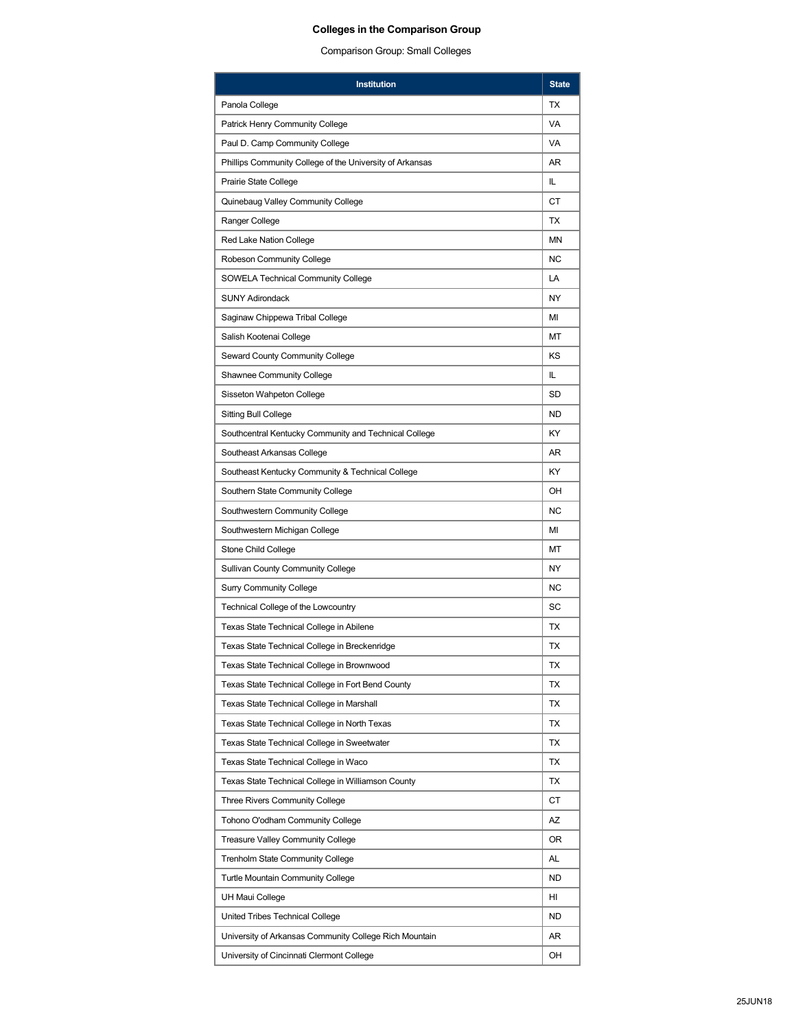| <b>Institution</b>                                       |                |  |  |  |
|----------------------------------------------------------|----------------|--|--|--|
| Panola College                                           | TX             |  |  |  |
| <b>Patrick Henry Community College</b>                   |                |  |  |  |
| Paul D. Camp Community College                           |                |  |  |  |
| Phillips Community College of the University of Arkansas | AR             |  |  |  |
| Prairie State College                                    | IL.            |  |  |  |
| Quinebaug Valley Community College                       |                |  |  |  |
| Ranger College                                           |                |  |  |  |
| Red Lake Nation College                                  | <b>MN</b>      |  |  |  |
| Robeson Community College                                | N <sub>C</sub> |  |  |  |
| <b>SOWELA Technical Community College</b>                | LA             |  |  |  |
| <b>SUNY Adirondack</b>                                   | <b>NY</b>      |  |  |  |
| Saginaw Chippewa Tribal College                          | MI             |  |  |  |
| Salish Kootenai College                                  | MT             |  |  |  |
| Seward County Community College                          | KS             |  |  |  |
| Shawnee Community College                                | IL             |  |  |  |
| Sisseton Wahpeton College                                | SD             |  |  |  |
| <b>Sitting Bull College</b>                              | <b>ND</b>      |  |  |  |
| Southcentral Kentucky Community and Technical College    | KY             |  |  |  |
| Southeast Arkansas College                               | AR.            |  |  |  |
| Southeast Kentucky Community & Technical College         | KY             |  |  |  |
| Southern State Community College                         |                |  |  |  |
| Southwestern Community College                           |                |  |  |  |
| Southwestern Michigan College                            |                |  |  |  |
| Stone Child College                                      |                |  |  |  |
| <b>Sullivan County Community College</b>                 |                |  |  |  |
| <b>Surry Community College</b>                           |                |  |  |  |
| Technical College of the Lowcountry                      |                |  |  |  |
| Texas State Technical College in Abilene                 |                |  |  |  |
| Texas State Technical College in Breckenridge            | ТX             |  |  |  |
| Texas State Technical College in Brownwood               | ТX             |  |  |  |
| Texas State Technical College in Fort Bend County        | TX             |  |  |  |
| Texas State Technical College in Marshall                | ТX             |  |  |  |
| Texas State Technical College in North Texas             | ТX             |  |  |  |
| Texas State Technical College in Sweetwater              | TX             |  |  |  |
| Texas State Technical College in Waco                    | ТX             |  |  |  |
| Texas State Technical College in Williamson County       |                |  |  |  |
| Three Rivers Community College                           | СT             |  |  |  |
| Tohono O'odham Community College                         | AZ             |  |  |  |
| Treasure Valley Community College                        |                |  |  |  |
| <b>Trenholm State Community College</b>                  |                |  |  |  |
| <b>Turtle Mountain Community College</b>                 |                |  |  |  |
| UH Maui College                                          |                |  |  |  |
| United Tribes Technical College                          |                |  |  |  |
| University of Arkansas Community College Rich Mountain   |                |  |  |  |
| University of Cincinnati Clermont College                |                |  |  |  |